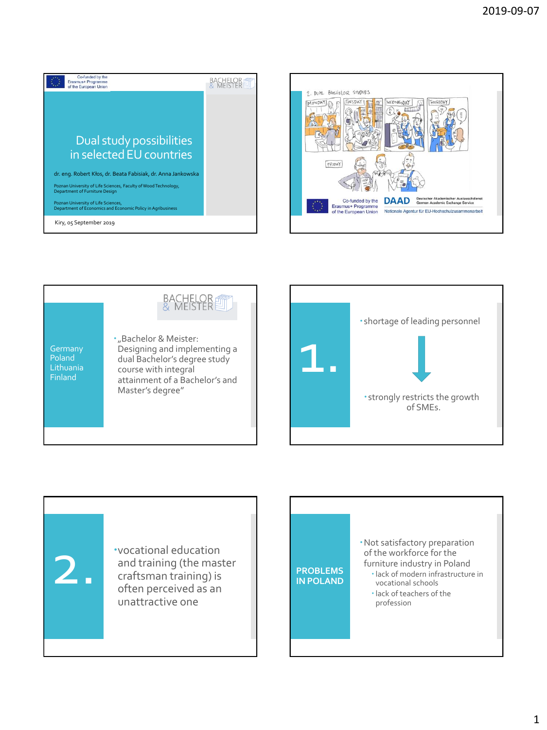









Not satisfactory preparation of the workforce for the furniture industry in Poland lack of modern infrastructure in vocational schools lack of teachers of the profession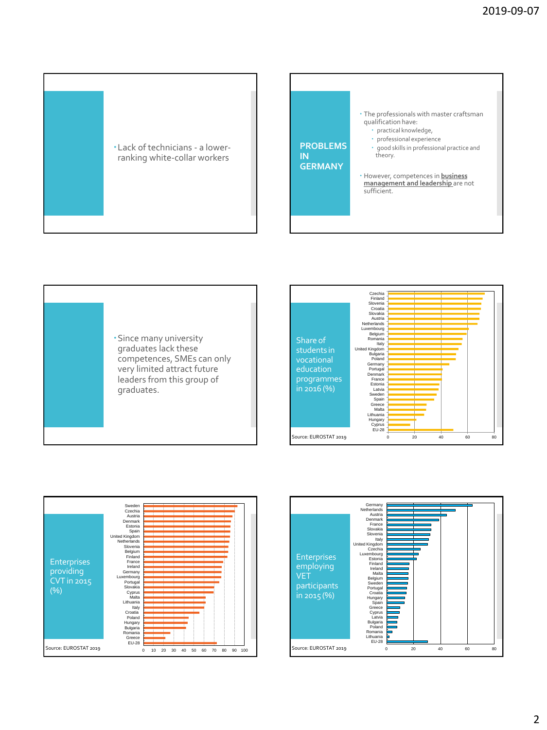